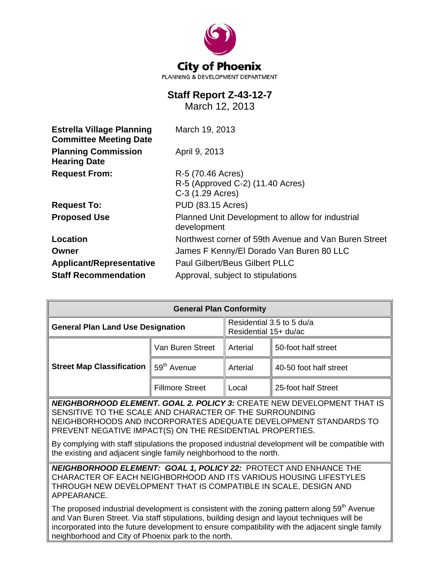

# **Staff Report Z-43-12-7**

March 12, 2013

| <b>Estrella Village Planning</b><br><b>Committee Meeting Date</b> | March 19, 2013                                                  |  |  |
|-------------------------------------------------------------------|-----------------------------------------------------------------|--|--|
| <b>Planning Commission</b><br><b>Hearing Date</b>                 | April 9, 2013                                                   |  |  |
| <b>Request From:</b>                                              | R-5 (70.46 Acres)                                               |  |  |
|                                                                   | R-5 (Approved C-2) (11.40 Acres)                                |  |  |
|                                                                   | C-3 (1.29 Acres)                                                |  |  |
| <b>Request To:</b>                                                | <b>PUD (83.15 Acres)</b>                                        |  |  |
| <b>Proposed Use</b>                                               | Planned Unit Development to allow for industrial<br>development |  |  |
| Location                                                          | Northwest corner of 59th Avenue and Van Buren Street            |  |  |
| Owner                                                             | James F Kenny/El Dorado Van Buren 80 LLC                        |  |  |
| <b>Applicant/Representative</b>                                   | <b>Paul Gilbert/Beus Gilbert PLLC</b>                           |  |  |
| <b>Staff Recommendation</b>                                       | Approval, subject to stipulations                               |  |  |

| <b>General Plan Conformity</b>           |                         |                                                    |                        |  |
|------------------------------------------|-------------------------|----------------------------------------------------|------------------------|--|
| <b>General Plan Land Use Designation</b> |                         | Residential 3.5 to 5 du/a<br>Residential 15+ du/ac |                        |  |
| <b>Street Map Classification</b>         | Van Buren Street        | Arterial                                           | 50-foot half street    |  |
|                                          | 59 <sup>th</sup> Avenue | Arterial                                           | 40-50 foot half street |  |
|                                          | <b>Fillmore Street</b>  | Local                                              | 25-foot half Street    |  |

*NEIGHBORHOOD ELEMENT. GOAL 2. POLICY 3:* CREATE NEW DEVELOPMENT THAT IS SENSITIVE TO THE SCALE AND CHARACTER OF THE SURROUNDING NEIGHBORHOODS AND INCORPORATES ADEQUATE DEVELOPMENT STANDARDS TO PREVENT NEGATIVE IMPACT(S) ON THE RESIDENTIAL PROPERTIES.

By complying with staff stipulations the proposed industrial development will be compatible with the existing and adjacent single family neighborhood to the north.

*NEIGHBORHOOD ELEMENT: GOAL 1, POLICY 22:*PROTECT AND ENHANCE THE CHARACTER OF EACH NEIGHBORHOOD AND ITS VARIOUS HOUSING LIFESTYLES THROUGH NEW DEVELOPMENT THAT IS COMPATIBLE IN SCALE, DESIGN AND APPEARANCE.

The proposed industrial development is consistent with the zoning pattern along  $59<sup>th</sup>$  Avenue and Van Buren Street. Via staff stipulations, building design and layout techniques will be incorporated into the future development to ensure compatibility with the adjacent single family neighborhood and City of Phoenix park to the north.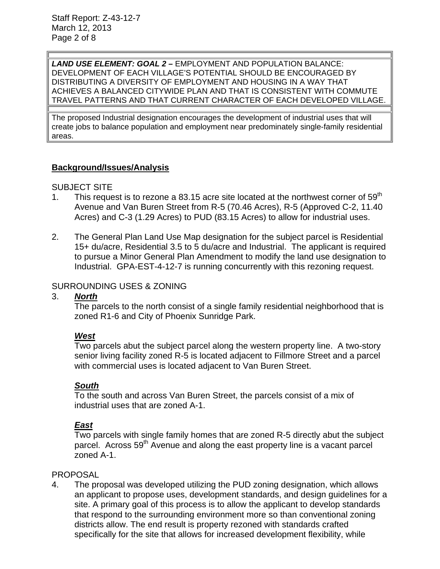*LAND USE ELEMENT: GOAL 2 –* EMPLOYMENT AND POPULATION BALANCE: DEVELOPMENT OF EACH VILLAGE'S POTENTIAL SHOULD BE ENCOURAGED BY DISTRIBUTING A DIVERSITY OF EMPLOYMENT AND HOUSING IN A WAY THAT ACHIEVES A BALANCED CITYWIDE PLAN AND THAT IS CONSISTENT WITH COMMUTE TRAVEL PATTERNS AND THAT CURRENT CHARACTER OF EACH DEVELOPED VILLAGE.

The proposed Industrial designation encourages the development of industrial uses that will create jobs to balance population and employment near predominately single-family residential areas.

## **Background/Issues/Analysis**

#### SUBJECT SITE

- 1. This request is to rezone a 83.15 acre site located at the northwest corner of  $59<sup>th</sup>$ Avenue and Van Buren Street from R-5 (70.46 Acres), R-5 (Approved C-2, 11.40 Acres) and C-3 (1.29 Acres) to PUD (83.15 Acres) to allow for industrial uses.
- 2. The General Plan Land Use Map designation for the subject parcel is Residential 15+ du/acre, Residential 3.5 to 5 du/acre and Industrial. The applicant is required to pursue a Minor General Plan Amendment to modify the land use designation to Industrial. GPA-EST-4-12-7 is running concurrently with this rezoning request.

#### SURROUNDING USES & ZONING

#### 3. *North*

The parcels to the north consist of a single family residential neighborhood that is zoned R1-6 and City of Phoenix Sunridge Park.

#### *West*

Two parcels abut the subject parcel along the western property line. A two-story senior living facility zoned R-5 is located adjacent to Fillmore Street and a parcel with commercial uses is located adjacent to Van Buren Street.

#### *South*

To the south and across Van Buren Street, the parcels consist of a mix of industrial uses that are zoned A-1.

#### *East*

Two parcels with single family homes that are zoned R-5 directly abut the subject parcel. Across 59<sup>th</sup> Avenue and along the east property line is a vacant parcel zoned A-1.

#### PROPOSAL

4. The proposal was developed utilizing the PUD zoning designation, which allows an applicant to propose uses, development standards, and design guidelines for a site. A primary goal of this process is to allow the applicant to develop standards that respond to the surrounding environment more so than conventional zoning districts allow. The end result is property rezoned with standards crafted specifically for the site that allows for increased development flexibility, while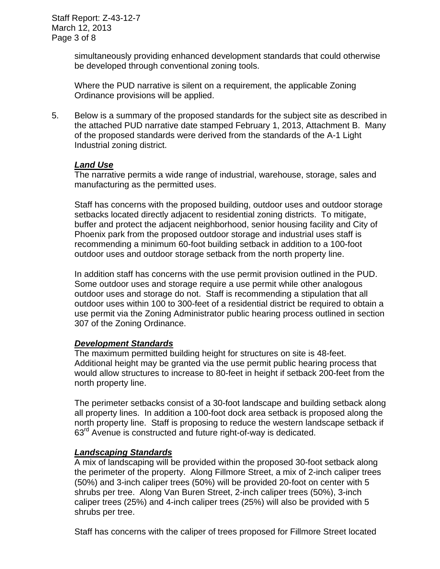simultaneously providing enhanced development standards that could otherwise be developed through conventional zoning tools.

Where the PUD narrative is silent on a requirement, the applicable Zoning Ordinance provisions will be applied.

5. Below is a summary of the proposed standards for the subject site as described in the attached PUD narrative date stamped February 1, 2013, Attachment B. Many of the proposed standards were derived from the standards of the A-1 Light Industrial zoning district.

#### *Land Use*

The narrative permits a wide range of industrial, warehouse, storage, sales and manufacturing as the permitted uses.

Staff has concerns with the proposed building, outdoor uses and outdoor storage setbacks located directly adjacent to residential zoning districts. To mitigate, buffer and protect the adjacent neighborhood, senior housing facility and City of Phoenix park from the proposed outdoor storage and industrial uses staff is recommending a minimum 60-foot building setback in addition to a 100-foot outdoor uses and outdoor storage setback from the north property line.

In addition staff has concerns with the use permit provision outlined in the PUD. Some outdoor uses and storage require a use permit while other analogous outdoor uses and storage do not. Staff is recommending a stipulation that all outdoor uses within 100 to 300-feet of a residential district be required to obtain a use permit via the Zoning Administrator public hearing process outlined in section 307 of the Zoning Ordinance.

# *Development Standards*

The maximum permitted building height for structures on site is 48-feet. Additional height may be granted via the use permit public hearing process that would allow structures to increase to 80-feet in height if setback 200-feet from the north property line.

The perimeter setbacks consist of a 30-foot landscape and building setback along all property lines. In addition a 100-foot dock area setback is proposed along the north property line. Staff is proposing to reduce the western landscape setback if 63<sup>rd</sup> Avenue is constructed and future right-of-way is dedicated.

# *Landscaping Standards*

A mix of landscaping will be provided within the proposed 30-foot setback along the perimeter of the property. Along Fillmore Street, a mix of 2-inch caliper trees (50%) and 3-inch caliper trees (50%) will be provided 20-foot on center with 5 shrubs per tree. Along Van Buren Street, 2-inch caliper trees (50%), 3-inch caliper trees (25%) and 4-inch caliper trees (25%) will also be provided with 5 shrubs per tree.

Staff has concerns with the caliper of trees proposed for Fillmore Street located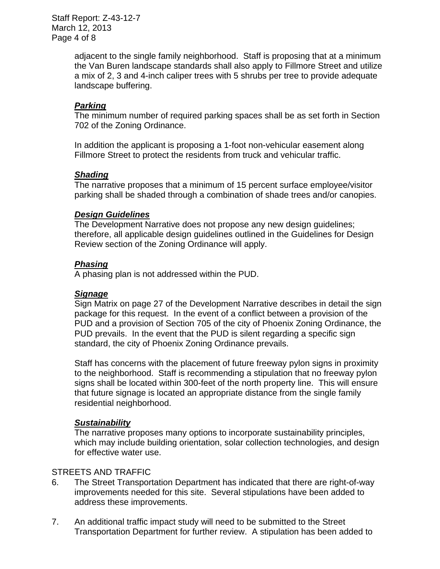Staff Report: Z-43-12-7 March 12, 2013 Page 4 of 8

> adjacent to the single family neighborhood. Staff is proposing that at a minimum the Van Buren landscape standards shall also apply to Fillmore Street and utilize a mix of 2, 3 and 4-inch caliper trees with 5 shrubs per tree to provide adequate landscape buffering.

## *Parking*

The minimum number of required parking spaces shall be as set forth in Section 702 of the Zoning Ordinance.

In addition the applicant is proposing a 1-foot non-vehicular easement along Fillmore Street to protect the residents from truck and vehicular traffic.

#### *Shading*

The narrative proposes that a minimum of 15 percent surface employee/visitor parking shall be shaded through a combination of shade trees and/or canopies.

#### *Design Guidelines*

The Development Narrative does not propose any new design guidelines; therefore, all applicable design guidelines outlined in the Guidelines for Design Review section of the Zoning Ordinance will apply.

#### *Phasing*

A phasing plan is not addressed within the PUD.

#### *Signage*

Sign Matrix on page 27 of the Development Narrative describes in detail the sign package for this request. In the event of a conflict between a provision of the PUD and a provision of Section 705 of the city of Phoenix Zoning Ordinance, the PUD prevails. In the event that the PUD is silent regarding a specific sign standard, the city of Phoenix Zoning Ordinance prevails.

Staff has concerns with the placement of future freeway pylon signs in proximity to the neighborhood. Staff is recommending a stipulation that no freeway pylon signs shall be located within 300-feet of the north property line. This will ensure that future signage is located an appropriate distance from the single family residential neighborhood.

#### *Sustainability*

The narrative proposes many options to incorporate sustainability principles, which may include building orientation, solar collection technologies, and design for effective water use.

#### STREETS AND TRAFFIC

- 6. The Street Transportation Department has indicated that there are right-of-way improvements needed for this site. Several stipulations have been added to address these improvements.
- 7. An additional traffic impact study will need to be submitted to the Street Transportation Department for further review. A stipulation has been added to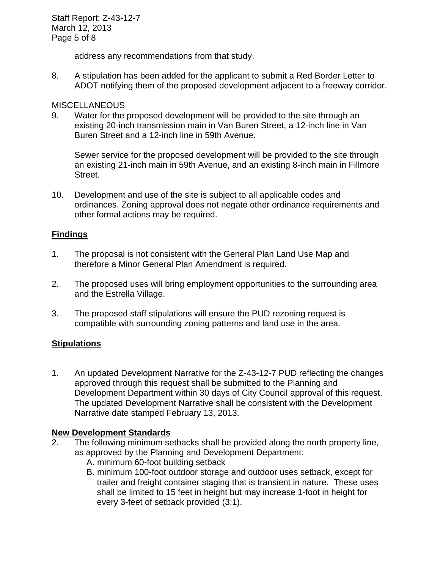Staff Report: Z-43-12-7 March 12, 2013 Page 5 of 8

address any recommendations from that study.

8. A stipulation has been added for the applicant to submit a Red Border Letter to ADOT notifying them of the proposed development adjacent to a freeway corridor.

## **MISCELLANEOUS**

9. Water for the proposed development will be provided to the site through an existing 20-inch transmission main in Van Buren Street, a 12-inch line in Van Buren Street and a 12-inch line in 59th Avenue.

Sewer service for the proposed development will be provided to the site through an existing 21-inch main in 59th Avenue, and an existing 8-inch main in Fillmore Street.

10. Development and use of the site is subject to all applicable codes and ordinances. Zoning approval does not negate other ordinance requirements and other formal actions may be required.

## **Findings**

- 1. The proposal is not consistent with the General Plan Land Use Map and therefore a Minor General Plan Amendment is required.
- 2. The proposed uses will bring employment opportunities to the surrounding area and the Estrella Village.
- 3. The proposed staff stipulations will ensure the PUD rezoning request is compatible with surrounding zoning patterns and land use in the area.

# **Stipulations**

1. An updated Development Narrative for the Z-43-12-7 PUD reflecting the changes approved through this request shall be submitted to the Planning and Development Department within 30 days of City Council approval of this request. The updated Development Narrative shall be consistent with the Development Narrative date stamped February 13, 2013.

#### **New Development Standards**

- 2. The following minimum setbacks shall be provided along the north property line, as approved by the Planning and Development Department:
	- A. minimum 60-foot building setback
	- B. minimum 100-foot outdoor storage and outdoor uses setback, except for trailer and freight container staging that is transient in nature. These uses shall be limited to 15 feet in height but may increase 1-foot in height for every 3-feet of setback provided (3:1).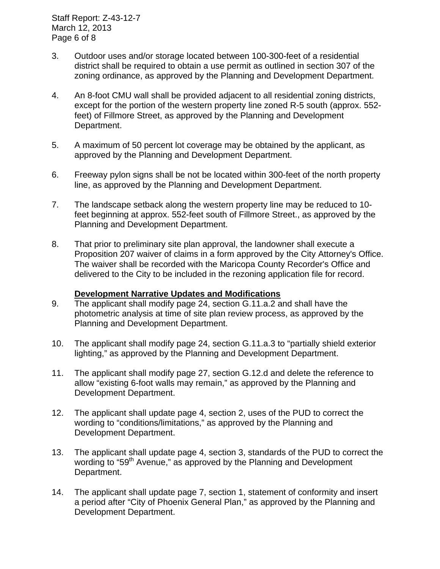Staff Report: Z-43-12-7 March 12, 2013 Page 6 of 8

- 3. Outdoor uses and/or storage located between 100-300-feet of a residential district shall be required to obtain a use permit as outlined in section 307 of the zoning ordinance, as approved by the Planning and Development Department.
- 4. An 8-foot CMU wall shall be provided adjacent to all residential zoning districts, except for the portion of the western property line zoned R-5 south (approx. 552 feet) of Fillmore Street, as approved by the Planning and Development Department.
- 5. A maximum of 50 percent lot coverage may be obtained by the applicant, as approved by the Planning and Development Department.
- 6. Freeway pylon signs shall be not be located within 300-feet of the north property line, as approved by the Planning and Development Department.
- 7. The landscape setback along the western property line may be reduced to 10 feet beginning at approx. 552-feet south of Fillmore Street., as approved by the Planning and Development Department.
- 8. That prior to preliminary site plan approval, the landowner shall execute a Proposition 207 waiver of claims in a form approved by the City Attorney's Office. The waiver shall be recorded with the Maricopa County Recorder's Office and delivered to the City to be included in the rezoning application file for record.

#### **Development Narrative Updates and Modifications**

- 9. The applicant shall modify page 24, section G.11.a.2 and shall have the photometric analysis at time of site plan review process, as approved by the Planning and Development Department.
- 10. The applicant shall modify page 24, section G.11.a.3 to "partially shield exterior lighting," as approved by the Planning and Development Department.
- 11. The applicant shall modify page 27, section G.12.d and delete the reference to allow "existing 6-foot walls may remain," as approved by the Planning and Development Department.
- 12. The applicant shall update page 4, section 2, uses of the PUD to correct the wording to "conditions/limitations," as approved by the Planning and Development Department.
- 13. The applicant shall update page 4, section 3, standards of the PUD to correct the wording to "59<sup>th</sup> Avenue," as approved by the Planning and Development Department.
- 14. The applicant shall update page 7, section 1, statement of conformity and insert a period after "City of Phoenix General Plan," as approved by the Planning and Development Department.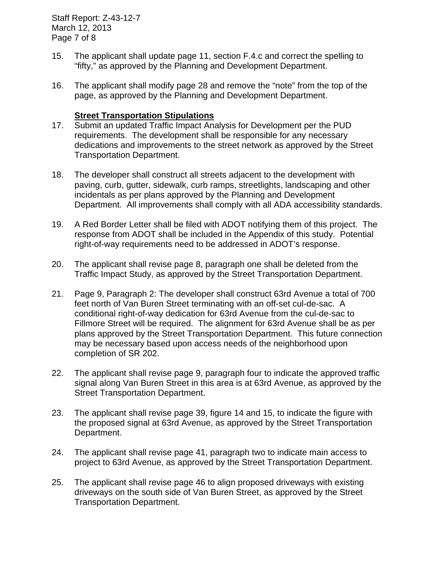Staff Report: Z-43-12-7 March 12, 2013 Page 7 of 8

- 15. The applicant shall update page 11, section F.4.c and correct the spelling to "fifty," as approved by the Planning and Development Department.
- 16. The applicant shall modify page 28 and remove the "note" from the top of the page, as approved by the Planning and Development Department.

#### **Street Transportation Stipulations**

- 17. Submit an updated Traffic Impact Analysis for Development per the PUD requirements. The development shall be responsible for any necessary dedications and improvements to the street network as approved by the Street Transportation Department.
- 18. The developer shall construct all streets adjacent to the development with paving, curb, gutter, sidewalk, curb ramps, streetlights, landscaping and other incidentals as per plans approved by the Planning and Development Department. All improvements shall comply with all ADA accessibility standards.
- 19. A Red Border Letter shall be filed with ADOT notifying them of this project. The response from ADOT shall be included in the Appendix of this study. Potential right-of-way requirements need to be addressed in ADOT's response.
- 20. The applicant shall revise page 8, paragraph one shall be deleted from the Traffic Impact Study, as approved by the Street Transportation Department.
- 21. Page 9, Paragraph 2: The developer shall construct 63rd Avenue a total of 700 feet north of Van Buren Street terminating with an off-set cul-de-sac. A conditional right-of-way dedication for 63rd Avenue from the cul-de-sac to Fillmore Street will be required. The alignment for 63rd Avenue shall be as per plans approved by the Street Transportation Department. This future connection may be necessary based upon access needs of the neighborhood upon completion of SR 202.
- 22. The applicant shall revise page 9, paragraph four to indicate the approved traffic signal along Van Buren Street in this area is at 63rd Avenue, as approved by the Street Transportation Department.
- 23. The applicant shall revise page 39, figure 14 and 15, to indicate the figure with the proposed signal at 63rd Avenue, as approved by the Street Transportation Department.
- 24. The applicant shall revise page 41, paragraph two to indicate main access to project to 63rd Avenue, as approved by the Street Transportation Department.
- 25. The applicant shall revise page 46 to align proposed driveways with existing driveways on the south side of Van Buren Street, as approved by the Street Transportation Department.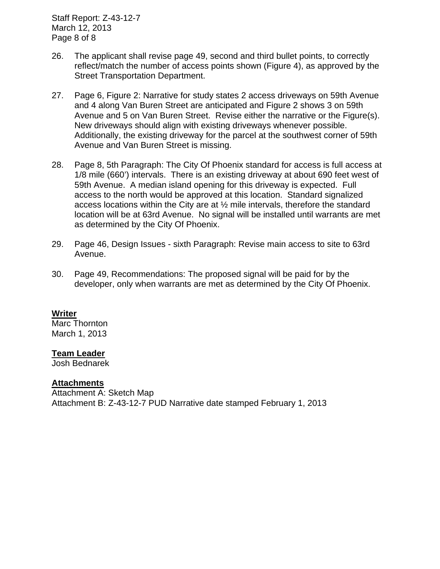Staff Report: Z-43-12-7 March 12, 2013 Page 8 of 8

- 26. The applicant shall revise page 49, second and third bullet points, to correctly reflect/match the number of access points shown (Figure 4), as approved by the Street Transportation Department.
- 27. Page 6, Figure 2: Narrative for study states 2 access driveways on 59th Avenue and 4 along Van Buren Street are anticipated and Figure 2 shows 3 on 59th Avenue and 5 on Van Buren Street. Revise either the narrative or the Figure(s). New driveways should align with existing driveways whenever possible. Additionally, the existing driveway for the parcel at the southwest corner of 59th Avenue and Van Buren Street is missing.
- 28. Page 8, 5th Paragraph: The City Of Phoenix standard for access is full access at 1/8 mile (660') intervals. There is an existing driveway at about 690 feet west of 59th Avenue. A median island opening for this driveway is expected. Full access to the north would be approved at this location. Standard signalized access locations within the City are at ½ mile intervals, therefore the standard location will be at 63rd Avenue. No signal will be installed until warrants are met as determined by the City Of Phoenix.
- 29. Page 46, Design Issues sixth Paragraph: Revise main access to site to 63rd Avenue.
- 30. Page 49, Recommendations: The proposed signal will be paid for by the developer, only when warrants are met as determined by the City Of Phoenix.

#### **Writer**

Marc Thornton March 1, 2013

#### **Team Leader**

Josh Bednarek

#### **Attachments**

Attachment A: Sketch Map Attachment B: Z-43-12-7 PUD Narrative date stamped February 1, 2013